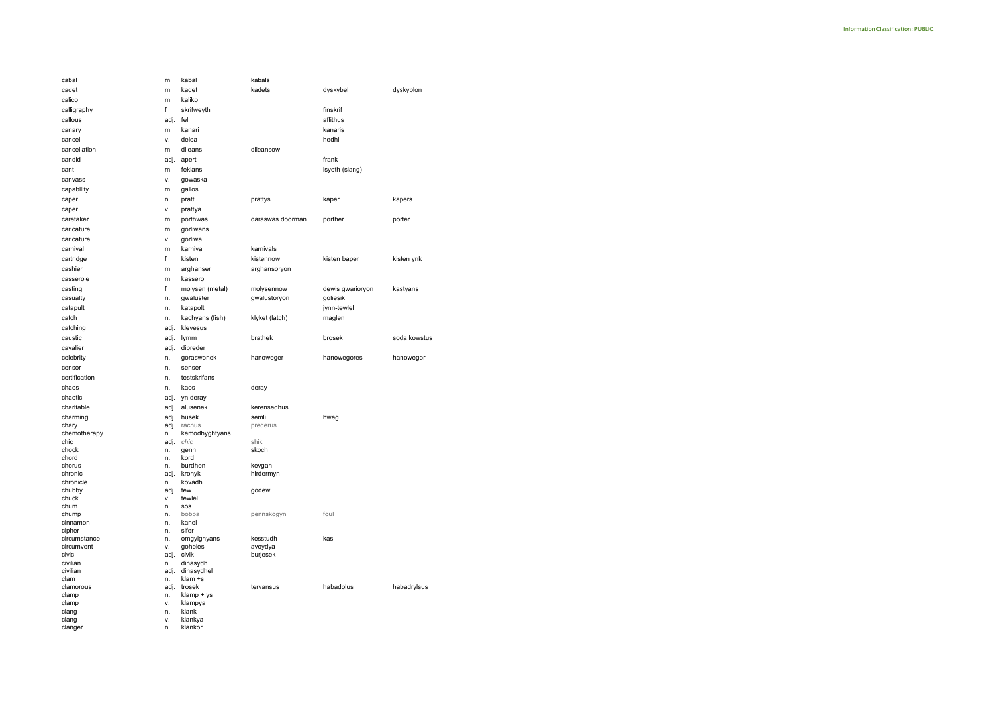| cabal                      | m            | kabal                  | kabals           |                  |              |  |
|----------------------------|--------------|------------------------|------------------|------------------|--------------|--|
| cadet                      | m            | kadet                  | kadets           | dyskybel         | dyskyblon    |  |
| calico                     | m            | kaliko                 |                  |                  |              |  |
| calligraphy                | f            | skrifweyth             |                  | finskrif         |              |  |
| callous                    | adj.         | fell                   |                  | aflithus         |              |  |
|                            |              |                        |                  | kanaris          |              |  |
| canary                     | m            | kanari                 |                  |                  |              |  |
| cancel                     | ٧.           | delea                  |                  | hedhi            |              |  |
| cancellation               | m            | dileans                | dileansow        |                  |              |  |
| candid                     | adj.         | apert                  |                  | frank            |              |  |
| cant                       | m            | feklans                |                  | isyeth (slang)   |              |  |
| canvass                    | v.           | gowaska                |                  |                  |              |  |
| capability                 | m            | gallos                 |                  |                  |              |  |
| caper                      | n.           | pratt                  | prattys          | kaper            | kapers       |  |
| caper                      | ٧.           | prattya                |                  |                  |              |  |
| caretaker                  | m            | porthwas               | daraswas doorman | porther          | porter       |  |
| caricature                 | m            | gorliwans              |                  |                  |              |  |
| caricature                 | v.           | gorliwa                |                  |                  |              |  |
| carnival                   |              | karnival               | karnivals        |                  |              |  |
|                            | m            |                        |                  |                  |              |  |
| cartridge                  | f            | kisten                 | kistennow        | kisten baper     | kisten ynk   |  |
| cashier                    | m            | arghanser              | arghansoryon     |                  |              |  |
| casserole                  | m            | kasserol               |                  |                  |              |  |
| casting                    | f            | molysen (metal)        | molysennow       | dewis gwarioryon | kastyans     |  |
| casualty                   | n.           | gwaluster              | gwalustoryon     | goliesik         |              |  |
| catapult                   | n.           | katapolt               |                  | jynn-tewlel      |              |  |
| catch                      | n.           | kachyans (fish)        | klyket (latch)   | maglen           |              |  |
| catching                   | adj.         | klevesus               |                  |                  |              |  |
| caustic                    | adj.         | lymm                   | brathek          | brosek           | soda kowstus |  |
| cavalier                   | adj.         | dibreder               |                  |                  |              |  |
| celebrity                  | n.           | goraswonek             | hanoweger        | hanowegores      | hanowegor    |  |
| censor                     | n.           | senser                 |                  |                  |              |  |
| certification              | n.           | testskrifans           |                  |                  |              |  |
| chaos                      | n.           | kaos                   | deray            |                  |              |  |
| chaotic                    | adj.         | yn deray               |                  |                  |              |  |
| charitable                 | adj.         | alusenek               | kerensedhus      |                  |              |  |
|                            |              | husek                  | semli            |                  |              |  |
| charming<br>chary          | adj.<br>adj. | rachus                 | prederus         | hweg             |              |  |
| chemotherapy               | n.           | kemodhyghtyans         |                  |                  |              |  |
| chic                       | adj.         | chic                   | shik             |                  |              |  |
| chock                      | n.           | genn                   | skoch            |                  |              |  |
| chord                      | n.           | kord                   |                  |                  |              |  |
| chorus                     | n.           | burdhen                | kevgan           |                  |              |  |
| chronic<br>chronicle       | adj.<br>n.   | kronyk<br>kovadh       | hirdermyn        |                  |              |  |
| chubby                     | adj.         | tew                    | godew            |                  |              |  |
| chuck                      | ٧.           | tewlel                 |                  |                  |              |  |
| chum                       | n.           | sos                    |                  |                  |              |  |
| chump                      | n.           | bobba                  | pennskogyn       | foul             |              |  |
| cinnamon                   | n.           | kanel                  |                  |                  |              |  |
| cipher                     | n.           | sifer                  |                  |                  |              |  |
| circumstance<br>circumvent | n.<br>٧.     | omgylghyans<br>goheles | kesstudh         | kas              |              |  |
| civic                      |              |                        | avoydya          |                  |              |  |
| civilian                   |              |                        |                  |                  |              |  |
| civilian                   | adj.<br>n.   | civik                  | burjesek         |                  |              |  |
|                            | adj.         | dinasydh<br>dinasydhel |                  |                  |              |  |
| clam                       | n.           | klam +s                |                  |                  |              |  |
| clamorous                  | adj.         | trosek                 | tervansus        | habadolus        | habadrylsus  |  |
| clamp                      | n.           | klamp + ys             |                  |                  |              |  |
| clamp                      | ۷.           | klampya                |                  |                  |              |  |
| clang                      | n.           | klank                  |                  |                  |              |  |
| clang<br>clanger           | ٧.<br>n.     | klankya<br>klankor     |                  |                  |              |  |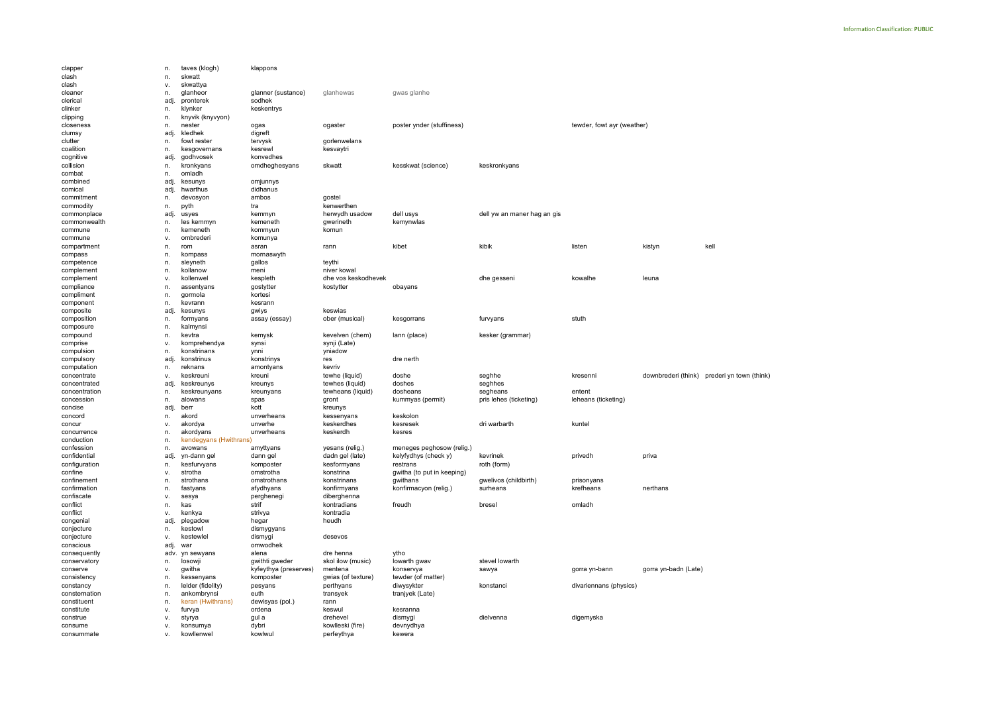| clapper       | n.   | taves (klogh)          | klappons              |                     |                            |                             |                            |                      |                                             |
|---------------|------|------------------------|-----------------------|---------------------|----------------------------|-----------------------------|----------------------------|----------------------|---------------------------------------------|
| clash         | n.   | skwatt                 |                       |                     |                            |                             |                            |                      |                                             |
| clash         | ٧.   | skwattya               |                       |                     |                            |                             |                            |                      |                                             |
| cleaner       | n.   | glanheor               | glanner (sustance)    | glanhewas           | gwas glanhe                |                             |                            |                      |                                             |
| clerical      | adj  | pronterek              | sodhek                |                     |                            |                             |                            |                      |                                             |
| clinker       | n.   | klynker                | keskentrys            |                     |                            |                             |                            |                      |                                             |
| clipping      | n.   | knyvik (knyvyon)       |                       |                     |                            |                             |                            |                      |                                             |
| closeness     | n.   | nester                 | ogas                  | ogaster             | poster ynder (stuffiness)  |                             | tewder, fowt ayr (weather) |                      |                                             |
| clumsy        | adj  | kledhek                | digreft               |                     |                            |                             |                            |                      |                                             |
|               |      |                        |                       |                     |                            |                             |                            |                      |                                             |
| clutter       | n.   | fowt rester            | tervysk               | gorlenwelans        |                            |                             |                            |                      |                                             |
| coalition     | n.   | kesgovernans           | kesrewl               | kesvaytri           |                            |                             |                            |                      |                                             |
| cognitive     | adj  | godhvosek              | konvedhes             |                     |                            |                             |                            |                      |                                             |
| collision     | n.   | kronkyans              | omdheghesyans         | skwatt              | kesskwat (science)         | keskronkyans                |                            |                      |                                             |
| combat        | n.   | omladh                 |                       |                     |                            |                             |                            |                      |                                             |
| combined      | adj  | kesunys                | omjunnys              |                     |                            |                             |                            |                      |                                             |
| comical       | adj  | hwarthus               | didhanus              |                     |                            |                             |                            |                      |                                             |
| commitment    | n.   | devosyon               | ambos                 | gostel              |                            |                             |                            |                      |                                             |
| commodity     | n.   | pyth                   | tra                   | kenwerthen          |                            |                             |                            |                      |                                             |
| commonplace   | adj  | usyes                  | kemmyn                | herwydh usadow      | dell usys                  | dell yw an maner hag an gis |                            |                      |                                             |
| commonwealth  | n.   | les kemmyn             | kemeneth              | gwerineth           | kemynwlas                  |                             |                            |                      |                                             |
| commune       | n.   | kemeneth               | kommyun               | komun               |                            |                             |                            |                      |                                             |
| commune       | ۷.   | ombrederi              | komunya               |                     |                            |                             |                            |                      |                                             |
| compartment   | n.   | rom                    | asran                 | rann                | kibet                      | kibik                       | listen                     | kistyn               | kell                                        |
| compass       | n.   | kompass                | mornaswyth            |                     |                            |                             |                            |                      |                                             |
| competence    |      | sleyneth               | gallos                | teythi              |                            |                             |                            |                      |                                             |
|               | n.   | kollanow               |                       | niver kowal         |                            |                             |                            |                      |                                             |
| complement    | n.   |                        | meni                  |                     |                            |                             |                            |                      |                                             |
| complement    | ٧.   | kollenwel              | kespleth              | dhe vos keskodhevek |                            | dhe gesseni                 | kowalhe                    | leuna                |                                             |
| compliance    | n.   | assentyans             | gostytter             | kostytter           | obayans                    |                             |                            |                      |                                             |
| compliment    | n.   | gormola                | kortesi               |                     |                            |                             |                            |                      |                                             |
| component     | n.   | kevrann                | kesrann               |                     |                            |                             |                            |                      |                                             |
| composite     | adj  | kesunys                | gwiys                 | keswias             |                            |                             |                            |                      |                                             |
| composition   | n.   | formyans               | assay (essay)         | ober (musical)      | kesgorrans                 | furvyans                    | stuth                      |                      |                                             |
| composure     | n.   | kalmynsi               |                       |                     |                            |                             |                            |                      |                                             |
| compound      | n.   | kevtra                 | kemysk                | kevelven (chem)     | lann (place)               | kesker (grammar)            |                            |                      |                                             |
| comprise      | ٧.   | komprehendya           | synsi                 | synji (Late)        |                            |                             |                            |                      |                                             |
| compulsion    | n.   | konstrinans            | ynni                  | yniadow             |                            |                             |                            |                      |                                             |
| compulsory    | adj  | konstrinus             | konstrinys            | res                 | dre nerth                  |                             |                            |                      |                                             |
| computation   | n.   | reknans                | amontyans             | kevriv              |                            |                             |                            |                      |                                             |
| concentrate   | v.   | keskreuni              | kreuni                | tewhe (liquid)      | doshe                      | seghhe                      | kresenni                   |                      | downbrederi (think) prederi yn town (think) |
| concentrated  |      | keskreunys             |                       | tewhes (liquid)     | doshes                     | seghhes                     |                            |                      |                                             |
|               | adj  |                        | kreunys               |                     | dosheans                   |                             |                            |                      |                                             |
| concentration | n.   | keskreunyans           | kreunyans             | tewheans (liquid)   |                            | segheans                    | entent                     |                      |                                             |
| concession    | n.   | alowans                | spas                  | gront               | kummyas (permit)           | pris lehes (ticketing)      | leheans (ticketing)        |                      |                                             |
| concise       | adj  | berr                   | kott                  | kreunys             |                            |                             |                            |                      |                                             |
| concord       | n.   | akord                  | unverheans            | kessenyans          | keskolon                   |                             |                            |                      |                                             |
| concur        | ٧.   | akordya                | unverhe               | keskerdhes          | kesresek                   | dri warbarth                | kuntel                     |                      |                                             |
| concurrence   | n.   | akordyans              | unverheans            | keskerdh            | kesres                     |                             |                            |                      |                                             |
| conduction    | n.   | kendegyans (Hwithrans) |                       |                     |                            |                             |                            |                      |                                             |
| confession    | n.   | avowans                | amyttyans             | yesans (relig.)     | meneges peghosow (relig.)  |                             |                            |                      |                                             |
| confidential  | adj  | yn-dann gel            | dann gel              | dadn gel (late)     | kelyfydhys (check y)       | kevrinek                    | privedh                    | priva                |                                             |
| configuration | n.   | kesfurvyans            | komposter             | kesformyans         | restrans                   | roth (form)                 |                            |                      |                                             |
| confine       | ٧.   | strotha                | omstrotha             | konstrina           | gwitha (to put in keeping) |                             |                            |                      |                                             |
| confinement   | n.   | strothans              | omstrothans           | konstrinans         | gwithans                   | gwelivos (childbirth)       | prisonyans                 |                      |                                             |
| confirmation  | n.   | fastyans               | afydhyans             | konfirmyans         | konfirmacyon (relig.)      | surheans                    | krefheans                  | nerthans             |                                             |
| confiscate    | ٧.   | sesya                  | perghenegi            | diberghenna         |                            |                             |                            |                      |                                             |
| conflict      | n.   | kas                    | strif                 | kontradians         | freudh                     | bresel                      | omladh                     |                      |                                             |
| conflict      | v.   | kenkya                 | strivya               | kontradia           |                            |                             |                            |                      |                                             |
|               |      |                        |                       |                     |                            |                             |                            |                      |                                             |
| congenial     | adj  | plegadow<br>kestowl    | hegar                 | heudh               |                            |                             |                            |                      |                                             |
| conjecture    | n.   |                        | dismygyans            |                     |                            |                             |                            |                      |                                             |
| conjecture    | ٧.   | kestewlel              | dismygi               | desevos             |                            |                             |                            |                      |                                             |
| conscious     | adj  | war                    | omwodhek              |                     |                            |                             |                            |                      |                                             |
| consequently  | adv. | yn sewyans             | alena                 | dre henna           | ytho                       |                             |                            |                      |                                             |
| conservatory  | n.   | losowji                | gwithti gweder        | skol ilow (music)   | lowarth gwav               | stevel lowarth              |                            |                      |                                             |
| conserve      | v.   | gwitha                 | kyfeythya (preserves) | mentena             | konservya                  | sawya                       | gorra yn-bann              | gorra yn-badn (Late) |                                             |
| consistency   | n.   | kessenyans             | komposter             | gwias (of texture)  | tewder (of matter)         |                             |                            |                      |                                             |
| constancy     | n.   | lelder (fidelity)      | pesyans               | perthyans           | diwysykter                 | konstanci                   | divariennans (physics)     |                      |                                             |
| consternation | n.   | ankombrynsi            | euth                  | transyek            | tranjyek (Late)            |                             |                            |                      |                                             |
| constituent   | n.   | keran (Hwithrans)      | dewisyas (pol.)       | rann                |                            |                             |                            |                      |                                             |
| constitute    | v.   | furvya                 | ordena                | keswul              | kesranna                   |                             |                            |                      |                                             |
| construe      | ۷.   | styrya                 | gul a                 | drehevel            | dismygi                    | dielvenna                   | digemyska                  |                      |                                             |
| consume       | ٧.   | konsumya               | dybri                 | kowlleski (fire)    | devnydhya                  |                             |                            |                      |                                             |
| consummate    | v.   | kowllenwel             | kowlwul               | perfeythya          | kewera                     |                             |                            |                      |                                             |